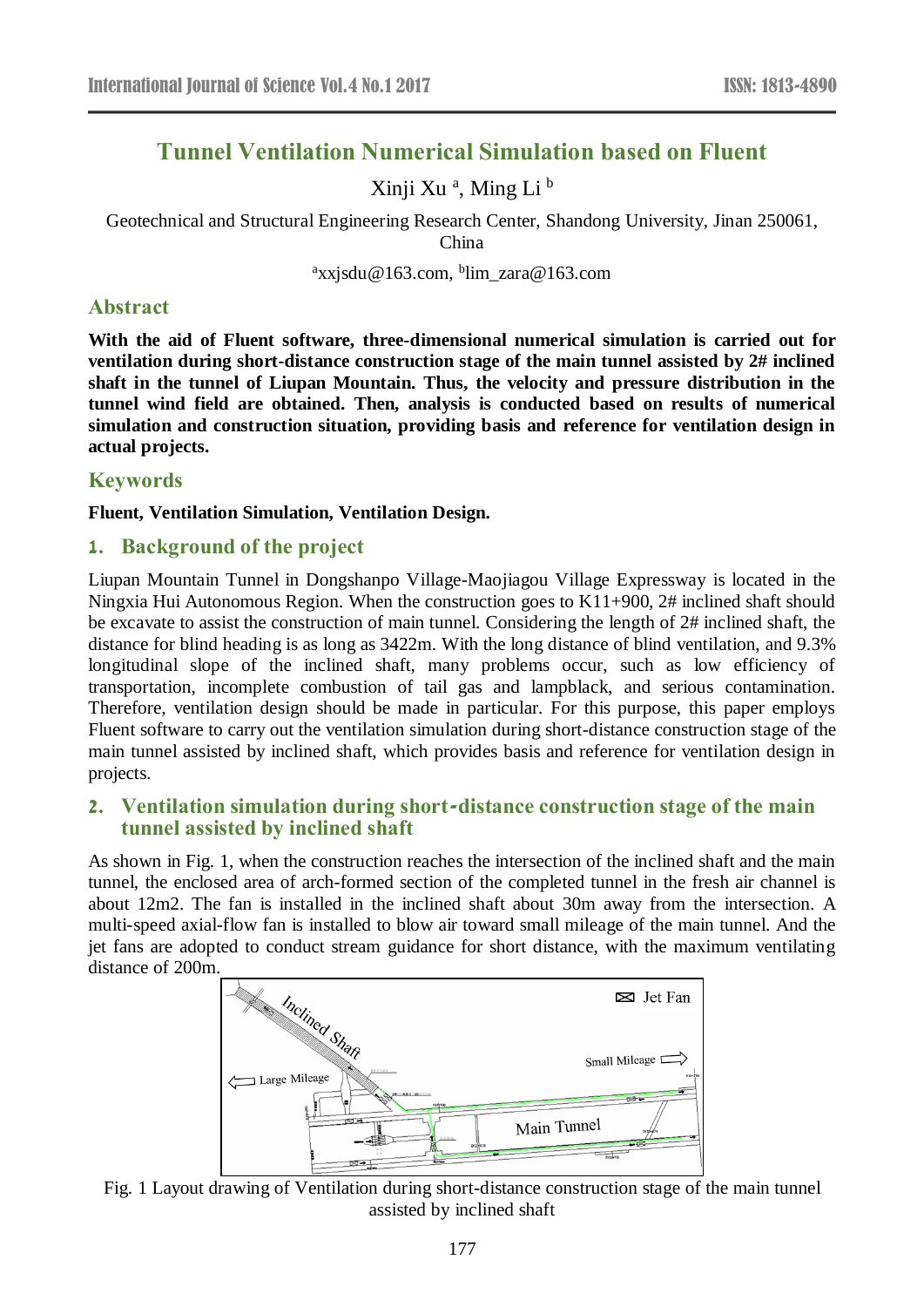# **Tunnel Ventilation Numerical Simulation based on Fluent**

Xinji Xu<sup>a</sup>, Ming Li<sup>b</sup>

Geotechnical and Structural Engineering Research Center, Shandong University, Jinan 250061,

China

<sup>a</sup>xxjsdu@163.com, <sup>b</sup>lim\_zara@163.com

## **Abstract**

**With the aid of Fluent software, three-dimensional numerical simulation is carried out for ventilation during short-distance construction stage of the main tunnel assisted by 2# inclined shaft in the tunnel of Liupan Mountain. Thus, the velocity and pressure distribution in the tunnel wind field are obtained. Then, analysis is conducted based on results of numerical simulation and construction situation, providing basis and reference for ventilation design in actual projects.**

# **Keywords**

**Fluent, Ventilation Simulation, Ventilation Design.**

## **1. Background of the project**

Liupan Mountain Tunnel in Dongshanpo Village-Maojiagou Village Expressway is located in the Ningxia Hui Autonomous Region. When the construction goes to K11+900, 2# inclined shaft should be excavate to assist the construction of main tunnel. Considering the length of 2# inclined shaft, the distance for blind heading is as long as 3422m. With the long distance of blind ventilation, and 9.3% longitudinal slope of the inclined shaft, many problems occur, such as low efficiency of transportation, incomplete combustion of tail gas and lampblack, and serious contamination. Therefore, ventilation design should be made in particular. For this purpose, this paper employs Fluent software to carry out the ventilation simulation during short-distance construction stage of the main tunnel assisted by inclined shaft, which provides basis and reference for ventilation design in projects.

## **2. Ventilation simulation during short-distance construction stage of the main tunnel assisted by inclined shaft**

As shown in Fig. 1, when the construction reaches the intersection of the inclined shaft and the main tunnel, the enclosed area of arch-formed section of the completed tunnel in the fresh air channel is about 12m2. The fan is installed in the inclined shaft about 30m away from the intersection. A multi-speed axial-flow fan is installed to blow air toward small mileage of the main tunnel. And the jet fans are adopted to conduct stream guidance for short distance, with the maximum ventilating distance of 200m.



Fig. 1 Layout drawing of Ventilation during short-distance construction stage of the main tunnel assisted by inclined shaft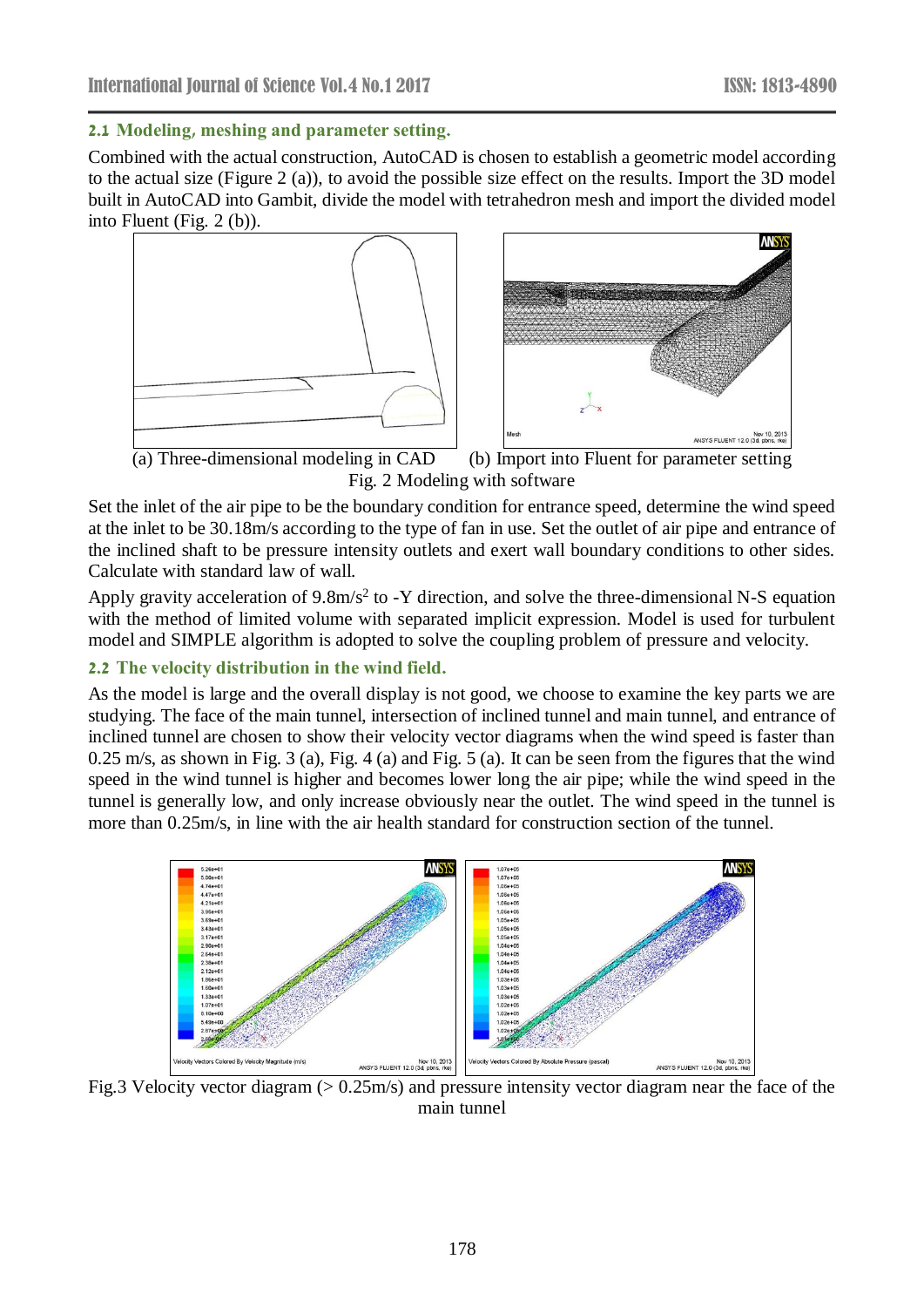#### **2.1 Modeling, meshing and parameter setting.**

Combined with the actual construction, AutoCAD is chosen to establish a geometric model according to the actual size (Figure 2 (a)), to avoid the possible size effect on the results. Import the 3D model built in AutoCAD into Gambit, divide the model with tetrahedron mesh and import the divided model into Fluent (Fig. 2 (b)).





 (a) Three-dimensional modeling in CAD (b) Import into Fluent for parameter setting Fig. 2 Modeling with software

Set the inlet of the air pipe to be the boundary condition for entrance speed, determine the wind speed at the inlet to be 30.18m/s according to the type of fan in use. Set the outlet of air pipe and entrance of the inclined shaft to be pressure intensity outlets and exert wall boundary conditions to other sides. Calculate with standard law of wall.

Apply gravity acceleration of 9.8m/s<sup>2</sup> to -Y direction, and solve the three-dimensional N-S equation with the method of limited volume with separated implicit expression. Model is used for turbulent model and SIMPLE algorithm is adopted to solve the coupling problem of pressure and velocity.

## **2.2 The velocity distribution in the wind field.**

As the model is large and the overall display is not good, we choose to examine the key parts we are studying. The face of the main tunnel, intersection of inclined tunnel and main tunnel, and entrance of inclined tunnel are chosen to show their velocity vector diagrams when the wind speed is faster than 0.25 m/s, as shown in Fig. 3 (a), Fig. 4 (a) and Fig. 5 (a). It can be seen from the figures that the wind speed in the wind tunnel is higher and becomes lower long the air pipe; while the wind speed in the tunnel is generally low, and only increase obviously near the outlet. The wind speed in the tunnel is more than 0.25m/s, in line with the air health standard for construction section of the tunnel.



Fig.3 Velocity vector diagram (> 0.25m/s) and pressure intensity vector diagram near the face of the main tunnel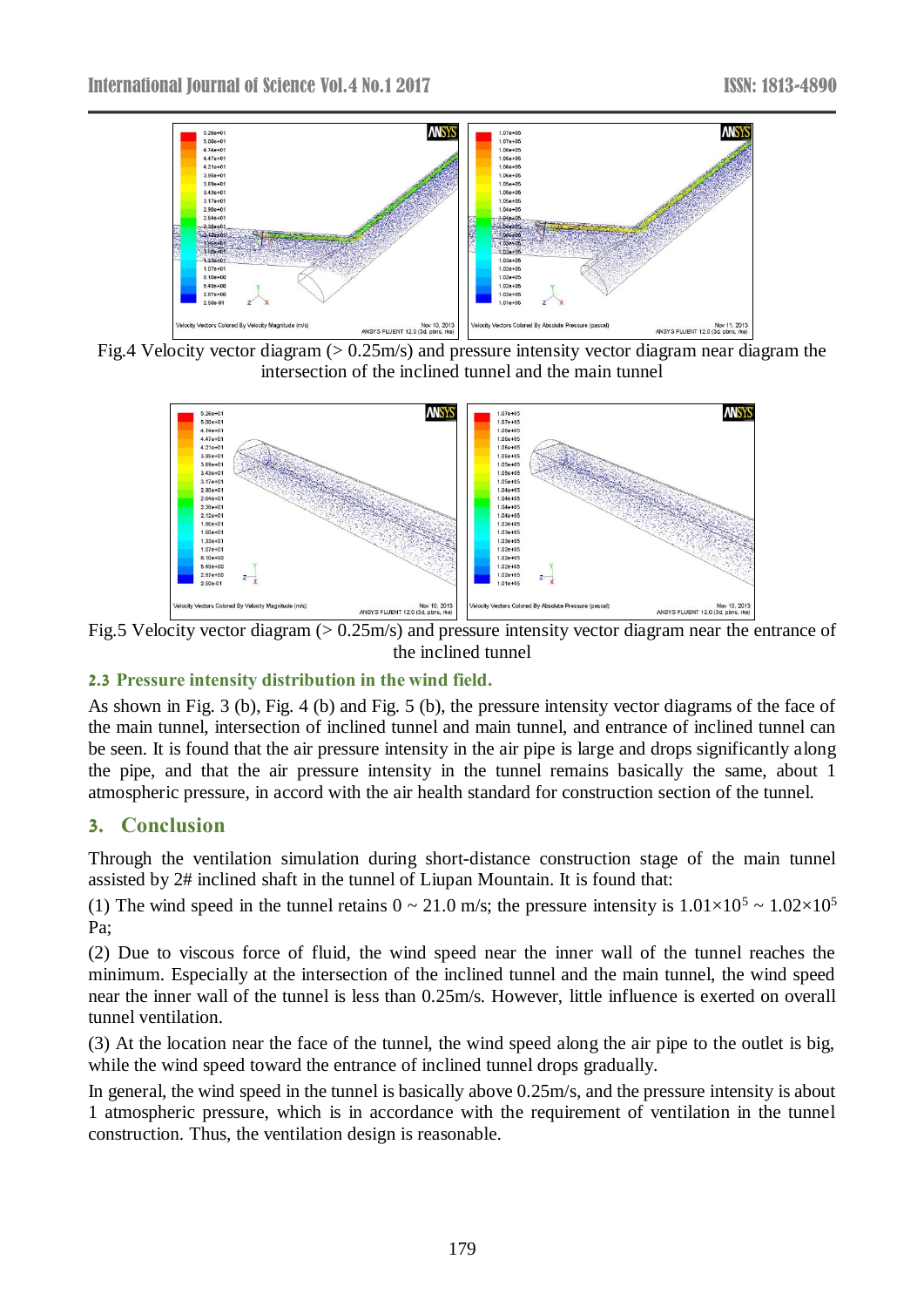

Fig.4 Velocity vector diagram (> 0.25m/s) and pressure intensity vector diagram near diagram the intersection of the inclined tunnel and the main tunnel



Fig.5 Velocity vector diagram (> 0.25m/s) and pressure intensity vector diagram near the entrance of the inclined tunnel

### **2.3 Pressure intensity distribution in the wind field.**

As shown in Fig. 3 (b), Fig. 4 (b) and Fig. 5 (b), the pressure intensity vector diagrams of the face of the main tunnel, intersection of inclined tunnel and main tunnel, and entrance of inclined tunnel can be seen. It is found that the air pressure intensity in the air pipe is large and drops significantly along the pipe, and that the air pressure intensity in the tunnel remains basically the same, about 1 atmospheric pressure, in accord with the air health standard for construction section of the tunnel.

# **3. Conclusion**

Through the ventilation simulation during short-distance construction stage of the main tunnel assisted by 2# inclined shaft in the tunnel of Liupan Mountain. It is found that:

(1) The wind speed in the tunnel retains  $0 \sim 21.0$  m/s; the pressure intensity is  $1.01 \times 10^5 \sim 1.02 \times 10^5$ Pa;

(2) Due to viscous force of fluid, the wind speed near the inner wall of the tunnel reaches the minimum. Especially at the intersection of the inclined tunnel and the main tunnel, the wind speed near the inner wall of the tunnel is less than 0.25m/s. However, little influence is exerted on overall tunnel ventilation.

(3) At the location near the face of the tunnel, the wind speed along the air pipe to the outlet is big, while the wind speed toward the entrance of inclined tunnel drops gradually.

In general, the wind speed in the tunnel is basically above 0.25m/s, and the pressure intensity is about 1 atmospheric pressure, which is in accordance with the requirement of ventilation in the tunnel construction. Thus, the ventilation design is reasonable.